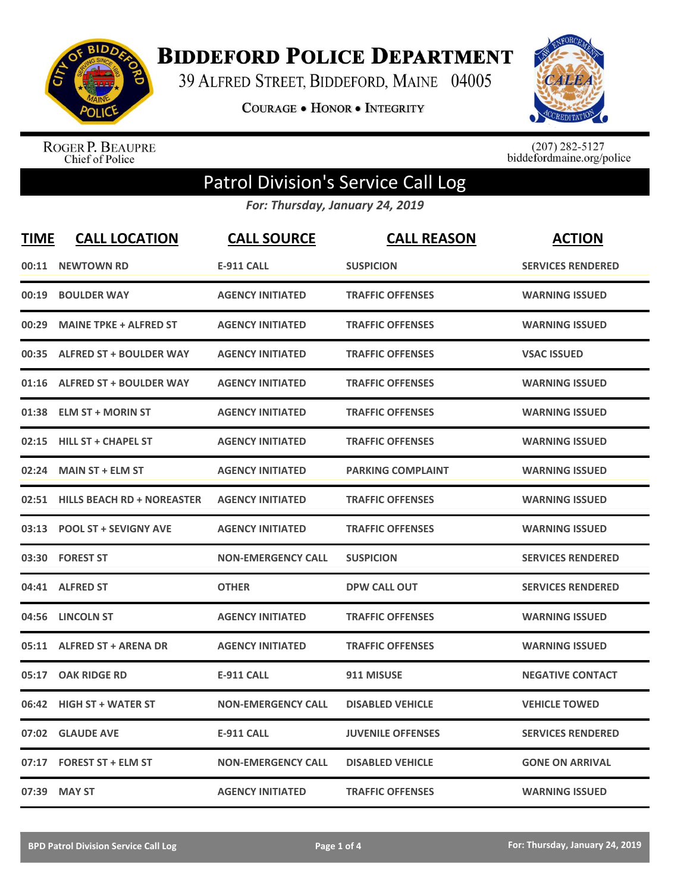

**BIDDEFORD POLICE DEPARTMENT** 

39 ALFRED STREET, BIDDEFORD, MAINE 04005

**COURAGE . HONOR . INTEGRITY** 



ROGER P. BEAUPRE<br>Chief of Police

 $(207)$  282-5127<br>biddefordmaine.org/police

## Patrol Division's Service Call Log

*For: Thursday, January 24, 2019*

| <b>TIME</b> | <b>CALL LOCATION</b>             | <b>CALL SOURCE</b>        | <b>CALL REASON</b>       | <b>ACTION</b>            |
|-------------|----------------------------------|---------------------------|--------------------------|--------------------------|
| 00:11       | <b>NEWTOWN RD</b>                | <b>E-911 CALL</b>         | <b>SUSPICION</b>         | <b>SERVICES RENDERED</b> |
| 00:19       | <b>BOULDER WAY</b>               | <b>AGENCY INITIATED</b>   | <b>TRAFFIC OFFENSES</b>  | <b>WARNING ISSUED</b>    |
| 00:29       | <b>MAINE TPKE + ALFRED ST</b>    | <b>AGENCY INITIATED</b>   | <b>TRAFFIC OFFENSES</b>  | <b>WARNING ISSUED</b>    |
| 00:35       | <b>ALFRED ST + BOULDER WAY</b>   | <b>AGENCY INITIATED</b>   | <b>TRAFFIC OFFENSES</b>  | <b>VSAC ISSUED</b>       |
| 01:16       | <b>ALFRED ST + BOULDER WAY</b>   | <b>AGENCY INITIATED</b>   | <b>TRAFFIC OFFENSES</b>  | <b>WARNING ISSUED</b>    |
| 01:38       | <b>ELM ST + MORIN ST</b>         | <b>AGENCY INITIATED</b>   | <b>TRAFFIC OFFENSES</b>  | <b>WARNING ISSUED</b>    |
| 02:15       | <b>HILL ST + CHAPEL ST</b>       | <b>AGENCY INITIATED</b>   | <b>TRAFFIC OFFENSES</b>  | <b>WARNING ISSUED</b>    |
| 02:24       | <b>MAIN ST + ELM ST</b>          | <b>AGENCY INITIATED</b>   | <b>PARKING COMPLAINT</b> | <b>WARNING ISSUED</b>    |
|             | 02:51 HILLS BEACH RD + NOREASTER | <b>AGENCY INITIATED</b>   | <b>TRAFFIC OFFENSES</b>  | <b>WARNING ISSUED</b>    |
|             | 03:13 POOL ST + SEVIGNY AVE      | <b>AGENCY INITIATED</b>   | <b>TRAFFIC OFFENSES</b>  | <b>WARNING ISSUED</b>    |
|             | 03:30 FOREST ST                  | <b>NON-EMERGENCY CALL</b> | <b>SUSPICION</b>         | <b>SERVICES RENDERED</b> |
|             | 04:41 ALFRED ST                  | <b>OTHER</b>              | <b>DPW CALL OUT</b>      | <b>SERVICES RENDERED</b> |
| 04:56       | <b>LINCOLN ST</b>                | <b>AGENCY INITIATED</b>   | <b>TRAFFIC OFFENSES</b>  | <b>WARNING ISSUED</b>    |
|             | 05:11 ALFRED ST + ARENA DR       | <b>AGENCY INITIATED</b>   | <b>TRAFFIC OFFENSES</b>  | <b>WARNING ISSUED</b>    |
| 05:17       | <b>OAK RIDGE RD</b>              | <b>E-911 CALL</b>         | 911 MISUSE               | <b>NEGATIVE CONTACT</b>  |
| 06:42       | <b>HIGH ST + WATER ST</b>        | <b>NON-EMERGENCY CALL</b> | <b>DISABLED VEHICLE</b>  | <b>VEHICLE TOWED</b>     |
| 07:02       | <b>GLAUDE AVE</b>                | <b>E-911 CALL</b>         | <b>JUVENILE OFFENSES</b> | <b>SERVICES RENDERED</b> |
| 07:17       | <b>FOREST ST + ELM ST</b>        | <b>NON-EMERGENCY CALL</b> | <b>DISABLED VEHICLE</b>  | <b>GONE ON ARRIVAL</b>   |
|             | 07:39 MAY ST                     | <b>AGENCY INITIATED</b>   | <b>TRAFFIC OFFENSES</b>  | <b>WARNING ISSUED</b>    |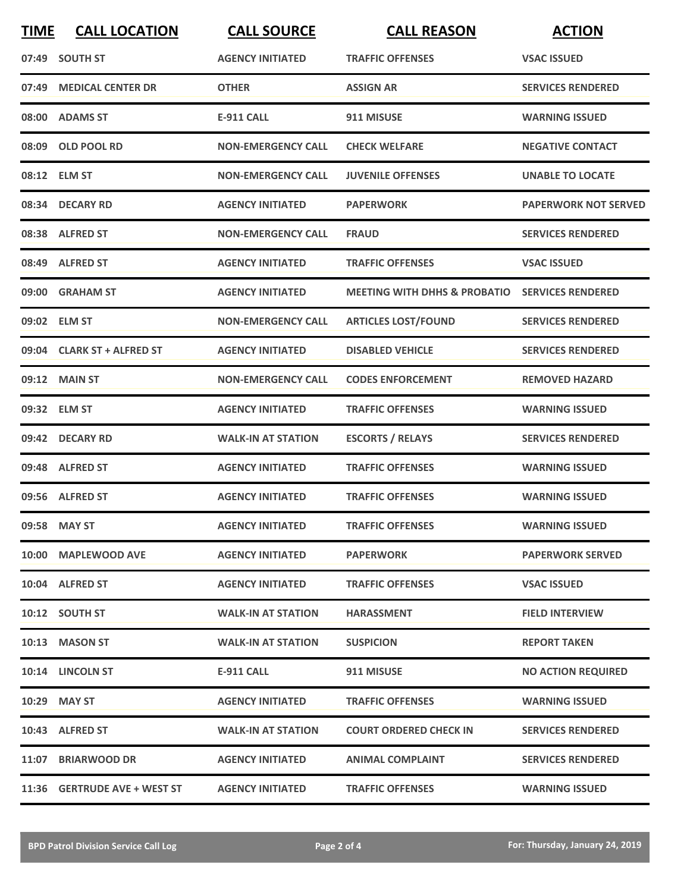| <b>TIME</b> | <b>CALL LOCATION</b>         | <b>CALL SOURCE</b>        | <b>CALL REASON</b>                                        | <b>ACTION</b>               |
|-------------|------------------------------|---------------------------|-----------------------------------------------------------|-----------------------------|
|             | 07:49 SOUTH ST               | <b>AGENCY INITIATED</b>   | <b>TRAFFIC OFFENSES</b>                                   | <b>VSAC ISSUED</b>          |
| 07:49       | <b>MEDICAL CENTER DR</b>     | <b>OTHER</b>              | <b>ASSIGN AR</b>                                          | <b>SERVICES RENDERED</b>    |
|             | 08:00 ADAMS ST               | <b>E-911 CALL</b>         | 911 MISUSE                                                | <b>WARNING ISSUED</b>       |
|             | 08:09 OLD POOL RD            | <b>NON-EMERGENCY CALL</b> | <b>CHECK WELFARE</b>                                      | <b>NEGATIVE CONTACT</b>     |
|             | 08:12 ELM ST                 | <b>NON-EMERGENCY CALL</b> | <b>JUVENILE OFFENSES</b>                                  | <b>UNABLE TO LOCATE</b>     |
|             | 08:34 DECARY RD              | <b>AGENCY INITIATED</b>   | <b>PAPERWORK</b>                                          | <b>PAPERWORK NOT SERVED</b> |
|             | 08:38 ALFRED ST              | <b>NON-EMERGENCY CALL</b> | <b>FRAUD</b>                                              | <b>SERVICES RENDERED</b>    |
|             | 08:49 ALFRED ST              | <b>AGENCY INITIATED</b>   | <b>TRAFFIC OFFENSES</b>                                   | <b>VSAC ISSUED</b>          |
|             | 09:00 GRAHAM ST              | <b>AGENCY INITIATED</b>   | <b>MEETING WITH DHHS &amp; PROBATIO SERVICES RENDERED</b> |                             |
|             | 09:02 ELM ST                 | <b>NON-EMERGENCY CALL</b> | <b>ARTICLES LOST/FOUND</b>                                | <b>SERVICES RENDERED</b>    |
|             | 09:04 CLARK ST + ALFRED ST   | <b>AGENCY INITIATED</b>   | <b>DISABLED VEHICLE</b>                                   | <b>SERVICES RENDERED</b>    |
|             | 09:12 MAIN ST                | <b>NON-EMERGENCY CALL</b> | <b>CODES ENFORCEMENT</b>                                  | <b>REMOVED HAZARD</b>       |
|             | 09:32 ELM ST                 | <b>AGENCY INITIATED</b>   | <b>TRAFFIC OFFENSES</b>                                   | <b>WARNING ISSUED</b>       |
|             | 09:42 DECARY RD              | <b>WALK-IN AT STATION</b> | <b>ESCORTS / RELAYS</b>                                   | <b>SERVICES RENDERED</b>    |
|             | 09:48 ALFRED ST              | <b>AGENCY INITIATED</b>   | <b>TRAFFIC OFFENSES</b>                                   | <b>WARNING ISSUED</b>       |
|             | 09:56 ALFRED ST              | <b>AGENCY INITIATED</b>   | <b>TRAFFIC OFFENSES</b>                                   | <b>WARNING ISSUED</b>       |
|             | 09:58 MAY ST                 | <b>AGENCY INITIATED</b>   | <b>TRAFFIC OFFENSES</b>                                   | <b>WARNING ISSUED</b>       |
|             | 10:00 MAPLEWOOD AVE          | <b>AGENCY INITIATED</b>   | <b>PAPERWORK</b>                                          | <b>PAPERWORK SERVED</b>     |
|             | 10:04 ALFRED ST              | <b>AGENCY INITIATED</b>   | <b>TRAFFIC OFFENSES</b>                                   | <b>VSAC ISSUED</b>          |
|             | 10:12 SOUTH ST               | <b>WALK-IN AT STATION</b> | <b>HARASSMENT</b>                                         | <b>FIELD INTERVIEW</b>      |
|             | 10:13 MASON ST               | <b>WALK-IN AT STATION</b> | <b>SUSPICION</b>                                          | <b>REPORT TAKEN</b>         |
|             | 10:14 LINCOLN ST             | E-911 CALL                | 911 MISUSE                                                | <b>NO ACTION REQUIRED</b>   |
|             | 10:29 MAY ST                 | <b>AGENCY INITIATED</b>   | <b>TRAFFIC OFFENSES</b>                                   | <b>WARNING ISSUED</b>       |
|             | 10:43 ALFRED ST              | <b>WALK-IN AT STATION</b> | <b>COURT ORDERED CHECK IN</b>                             | <b>SERVICES RENDERED</b>    |
|             | 11:07 BRIARWOOD DR           | <b>AGENCY INITIATED</b>   | ANIMAL COMPLAINT                                          | <b>SERVICES RENDERED</b>    |
|             | 11:36 GERTRUDE AVE + WEST ST | <b>AGENCY INITIATED</b>   | <b>TRAFFIC OFFENSES</b>                                   | <b>WARNING ISSUED</b>       |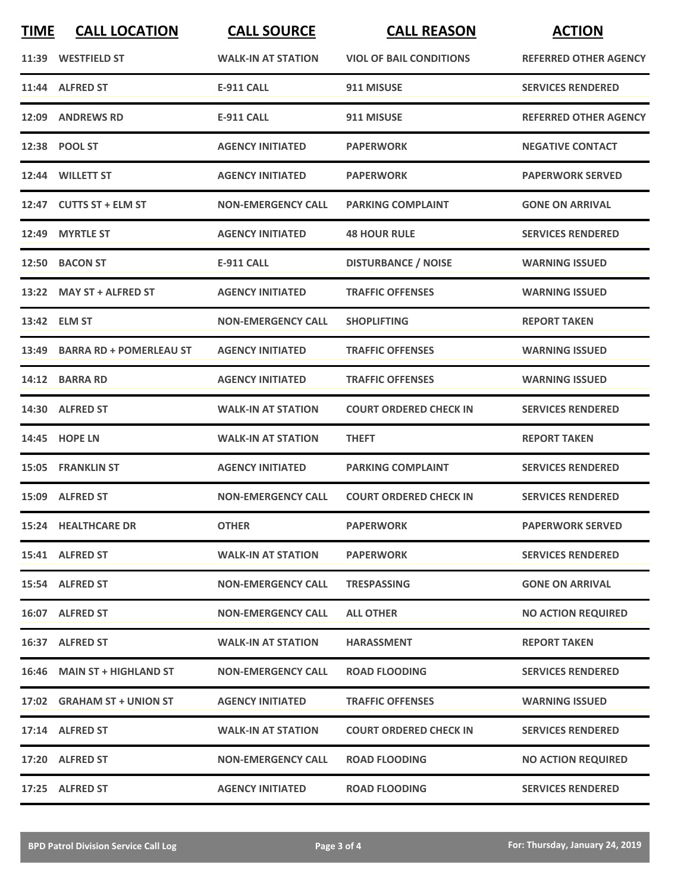| <b>TIME</b> | <b>CALL LOCATION</b>           | <b>CALL SOURCE</b>        | <b>CALL REASON</b>             | <b>ACTION</b>                |
|-------------|--------------------------------|---------------------------|--------------------------------|------------------------------|
|             | 11:39 WESTFIELD ST             | <b>WALK-IN AT STATION</b> | <b>VIOL OF BAIL CONDITIONS</b> | <b>REFERRED OTHER AGENCY</b> |
|             | 11:44 ALFRED ST                | <b>E-911 CALL</b>         | 911 MISUSE                     | <b>SERVICES RENDERED</b>     |
| 12:09       | <b>ANDREWS RD</b>              | <b>E-911 CALL</b>         | 911 MISUSE                     | <b>REFERRED OTHER AGENCY</b> |
|             | 12:38 POOL ST                  | <b>AGENCY INITIATED</b>   | <b>PAPERWORK</b>               | <b>NEGATIVE CONTACT</b>      |
|             | 12:44 WILLETT ST               | <b>AGENCY INITIATED</b>   | <b>PAPERWORK</b>               | <b>PAPERWORK SERVED</b>      |
|             | 12:47 CUTTS ST + ELM ST        | <b>NON-EMERGENCY CALL</b> | <b>PARKING COMPLAINT</b>       | <b>GONE ON ARRIVAL</b>       |
| 12:49       | <b>MYRTLE ST</b>               | <b>AGENCY INITIATED</b>   | <b>48 HOUR RULE</b>            | <b>SERVICES RENDERED</b>     |
| 12:50       | <b>BACON ST</b>                | <b>E-911 CALL</b>         | <b>DISTURBANCE / NOISE</b>     | <b>WARNING ISSUED</b>        |
|             | 13:22 MAY ST + ALFRED ST       | <b>AGENCY INITIATED</b>   | <b>TRAFFIC OFFENSES</b>        | <b>WARNING ISSUED</b>        |
|             | 13:42 ELM ST                   | <b>NON-EMERGENCY CALL</b> | <b>SHOPLIFTING</b>             | <b>REPORT TAKEN</b>          |
| 13:49       | <b>BARRA RD + POMERLEAU ST</b> | <b>AGENCY INITIATED</b>   | <b>TRAFFIC OFFENSES</b>        | <b>WARNING ISSUED</b>        |
|             | 14:12 BARRA RD                 | <b>AGENCY INITIATED</b>   | <b>TRAFFIC OFFENSES</b>        | <b>WARNING ISSUED</b>        |
|             | 14:30 ALFRED ST                | <b>WALK-IN AT STATION</b> | <b>COURT ORDERED CHECK IN</b>  | <b>SERVICES RENDERED</b>     |
| 14:45       | <b>HOPE LN</b>                 | <b>WALK-IN AT STATION</b> | <b>THEFT</b>                   | <b>REPORT TAKEN</b>          |
| 15:05       | <b>FRANKLIN ST</b>             | <b>AGENCY INITIATED</b>   | <b>PARKING COMPLAINT</b>       | <b>SERVICES RENDERED</b>     |
|             | 15:09 ALFRED ST                | <b>NON-EMERGENCY CALL</b> | <b>COURT ORDERED CHECK IN</b>  | <b>SERVICES RENDERED</b>     |
|             | <b>15:24 HEALTHCARE DR</b>     | <b>OTHER</b>              | <b>PAPERWORK</b>               | <b>PAPERWORK SERVED</b>      |
|             | 15:41 ALFRED ST                | <b>WALK-IN AT STATION</b> | <b>PAPERWORK</b>               | <b>SERVICES RENDERED</b>     |
|             | 15:54 ALFRED ST                | <b>NON-EMERGENCY CALL</b> | <b>TRESPASSING</b>             | <b>GONE ON ARRIVAL</b>       |
|             | 16:07 ALFRED ST                | <b>NON-EMERGENCY CALL</b> | <b>ALL OTHER</b>               | <b>NO ACTION REQUIRED</b>    |
|             | 16:37 ALFRED ST                | <b>WALK-IN AT STATION</b> | <b>HARASSMENT</b>              | <b>REPORT TAKEN</b>          |
|             | 16:46 MAIN ST + HIGHLAND ST    | <b>NON-EMERGENCY CALL</b> | <b>ROAD FLOODING</b>           | <b>SERVICES RENDERED</b>     |
|             | 17:02 GRAHAM ST + UNION ST     | <b>AGENCY INITIATED</b>   | <b>TRAFFIC OFFENSES</b>        | <b>WARNING ISSUED</b>        |
|             | 17:14 ALFRED ST                | <b>WALK-IN AT STATION</b> | <b>COURT ORDERED CHECK IN</b>  | <b>SERVICES RENDERED</b>     |
|             | 17:20 ALFRED ST                | <b>NON-EMERGENCY CALL</b> | <b>ROAD FLOODING</b>           | <b>NO ACTION REQUIRED</b>    |
|             | 17:25 ALFRED ST                | <b>AGENCY INITIATED</b>   | <b>ROAD FLOODING</b>           | <b>SERVICES RENDERED</b>     |